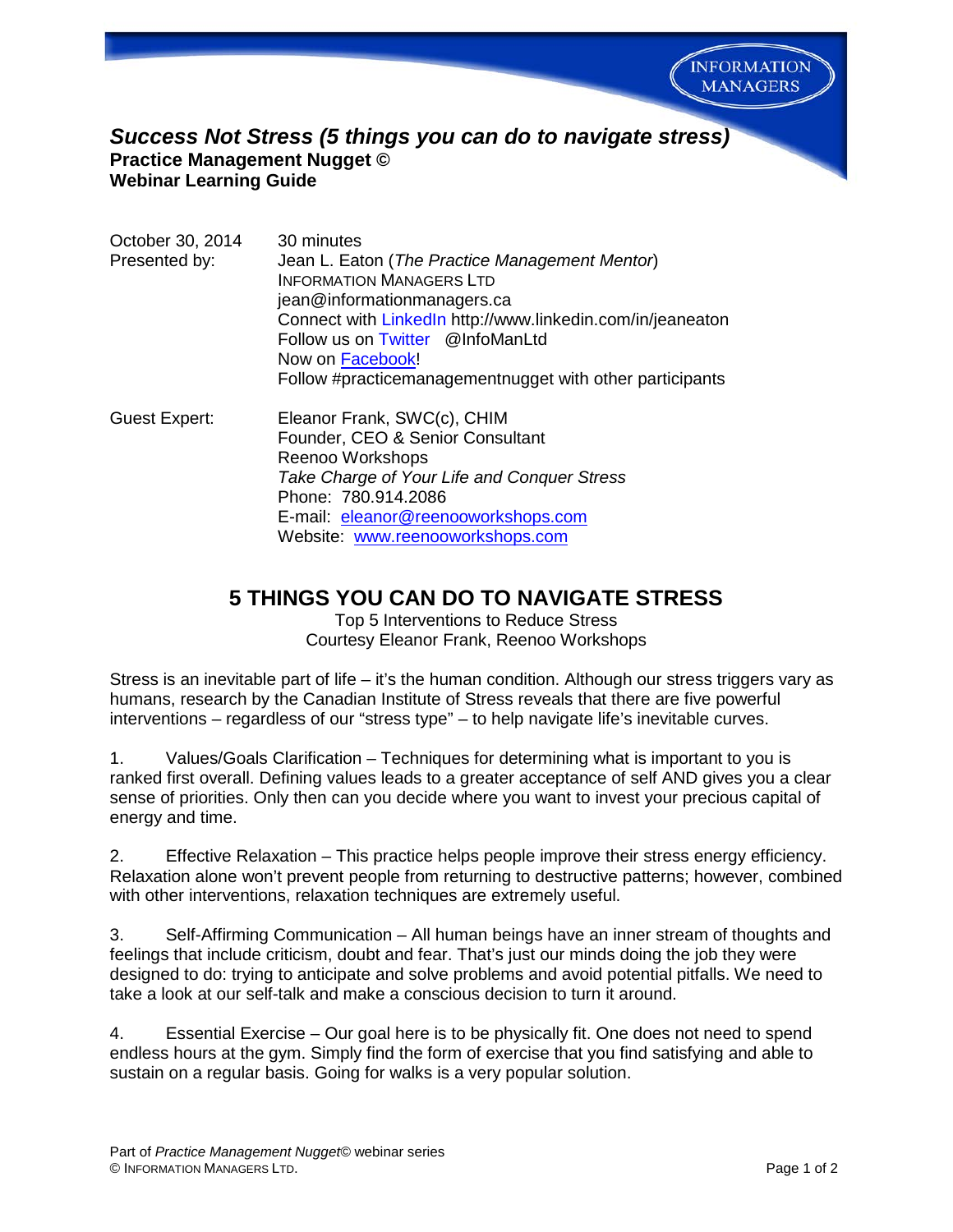

## *Success Not Stress (5 things you can do to navigate stress)* **Practice Management Nugget © Webinar Learning Guide**

| October 30, 2014<br>Presented by: | 30 minutes<br>Jean L. Eaton (The Practice Management Mentor)<br><b>INFORMATION MANAGERS LTD</b><br>jean@informationmanagers.ca<br>Connect with LinkedIn http://www.linkedin.com/in/jeaneaton<br>Follow us on Twitter @InfoManLtd<br>Now on Facebook!<br>Follow #practicemanagementnugget with other participants |
|-----------------------------------|------------------------------------------------------------------------------------------------------------------------------------------------------------------------------------------------------------------------------------------------------------------------------------------------------------------|
| Guest Expert:                     | Eleanor Frank, SWC(c), CHIM<br>Founder, CEO & Senior Consultant<br>Reenoo Workshops<br>Take Charge of Your Life and Conquer Stress<br>Phone: 780.914.2086<br>E-mail: eleanor@reenooworkshops.com<br>Website: www.reenooworkshops.com                                                                             |

## **5 THINGS YOU CAN DO TO NAVIGATE STRESS**

Top 5 Interventions to Reduce Stress Courtesy Eleanor Frank, Reenoo Workshops

Stress is an inevitable part of life – it's the human condition. Although our stress triggers vary as humans, research by the Canadian Institute of Stress reveals that there are five powerful interventions – regardless of our "stress type" – to help navigate life's inevitable curves.

1. Values/Goals Clarification – Techniques for determining what is important to you is ranked first overall. Defining values leads to a greater acceptance of self AND gives you a clear sense of priorities. Only then can you decide where you want to invest your precious capital of energy and time.

2. Effective Relaxation – This practice helps people improve their stress energy efficiency. Relaxation alone won't prevent people from returning to destructive patterns; however, combined with other interventions, relaxation techniques are extremely useful.

3. Self-Affirming Communication – All human beings have an inner stream of thoughts and feelings that include criticism, doubt and fear. That's just our minds doing the job they were designed to do: trying to anticipate and solve problems and avoid potential pitfalls. We need to take a look at our self-talk and make a conscious decision to turn it around.

4. Essential Exercise – Our goal here is to be physically fit. One does not need to spend endless hours at the gym. Simply find the form of exercise that you find satisfying and able to sustain on a regular basis. Going for walks is a very popular solution.